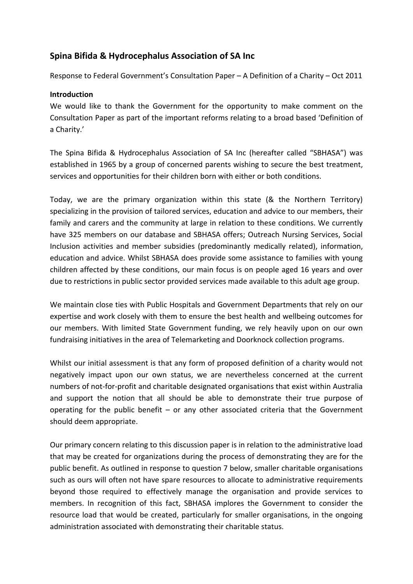# **Spina Bifida & Hydrocephalus Association of SA Inc**

Response to Federal Government's Consultation Paper – A Definition of a Charity – Oct 2011

#### **Introduction**

We would like to thank the Government for the opportunity to make comment on the Consultation Paper as part of the important reforms relating to a broad based 'Definition of a Charity.'

The Spina Bifida & Hydrocephalus Association of SA Inc (hereafter called "SBHASA") was established in 1965 by a group of concerned parents wishing to secure the best treatment, services and opportunities for their children born with either or both conditions.

Today, we are the primary organization within this state (& the Northern Territory) specializing in the provision of tailored services, education and advice to our members, their family and carers and the community at large in relation to these conditions. We currently have 325 members on our database and SBHASA offers; Outreach Nursing Services, Social Inclusion activities and member subsidies (predominantly medically related), information, education and advice. Whilst SBHASA does provide some assistance to families with young children affected by these conditions, our main focus is on people aged 16 years and over due to restrictions in public sector provided services made available to this adult age group.

We maintain close ties with Public Hospitals and Government Departments that rely on our expertise and work closely with them to ensure the best health and wellbeing outcomes for our members. With limited State Government funding, we rely heavily upon on our own fundraising initiatives in the area of Telemarketing and Doorknock collection programs.

Whilst our initial assessment is that any form of proposed definition of a charity would not negatively impact upon our own status, we are nevertheless concerned at the current numbers of not-for-profit and charitable designated organisations that exist within Australia and support the notion that all should be able to demonstrate their true purpose of operating for the public benefit  $-$  or any other associated criteria that the Government should deem appropriate.

Our primary concern relating to this discussion paper is in relation to the administrative load that may be created for organizations during the process of demonstrating they are for the public benefit. As outlined in response to question 7 below, smaller charitable organisations such as ours will often not have spare resources to allocate to administrative requirements beyond those required to effectively manage the organisation and provide services to members. In recognition of this fact, SBHASA implores the Government to consider the resource load that would be created, particularly for smaller organisations, in the ongoing administration associated with demonstrating their charitable status.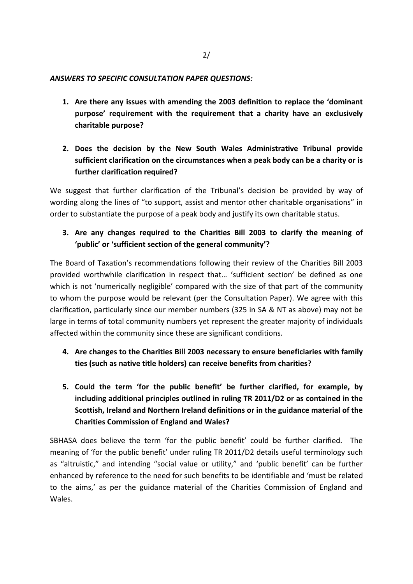#### *ANSWERS TO SPECIFIC CONSULTATION PAPER QUESTIONS:*

- **1. Are there any issues with amending the 2003 definition to replace the 'dominant purpose' requirement with the requirement that a charity have an exclusively charitable purpose?**
- **2. Does the decision by the New South Wales Administrative Tribunal provide sufficient clarification on the circumstances when a peak body can be a charity or is further clarification required?**

We suggest that further clarification of the Tribunal's decision be provided by way of wording along the lines of "to support, assist and mentor other charitable organisations" in order to substantiate the purpose of a peak body and justify its own charitable status.

**3. Are any changes required to the Charities Bill 2003 to clarify the meaning of 'public' or 'sufficient section of the general community'?**

The Board of Taxation's recommendations following their review of the Charities Bill 2003 provided worthwhile clarification in respect that… 'sufficient section' be defined as one which is not 'numerically negligible' compared with the size of that part of the community to whom the purpose would be relevant (per the Consultation Paper). We agree with this clarification, particularly since our member numbers (325 in SA & NT as above) may not be large in terms of total community numbers yet represent the greater majority of individuals affected within the community since these are significant conditions.

- **4. Are changes to the Charities Bill 2003 necessary to ensure beneficiaries with family ties (such as native title holders) can receive benefits from charities?**
- **5. Could the term 'for the public benefit' be further clarified, for example, by including additional principles outlined in ruling TR 2011/D2 or as contained in the Scottish, Ireland and Northern Ireland definitions or in the guidance material of the Charities Commission of England and Wales?**

SBHASA does believe the term 'for the public benefit' could be further clarified. The meaning of 'for the public benefit' under ruling TR 2011/D2 details useful terminology such as "altruistic," and intending "social value or utility," and 'public benefit' can be further enhanced by reference to the need for such benefits to be identifiable and 'must be related to the aims,' as per the guidance material of the Charities Commission of England and Wales.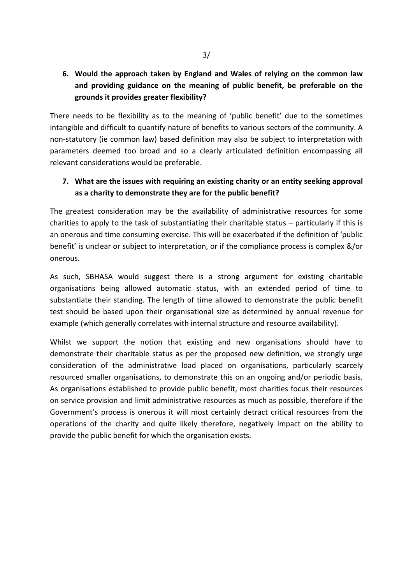# **6. Would the approach taken by England and Wales of relying on the common law and providing guidance on the meaning of public benefit, be preferable on the grounds it provides greater flexibility?**

There needs to be flexibility as to the meaning of 'public benefit' due to the sometimes intangible and difficult to quantify nature of benefits to various sectors of the community. A non-statutory (ie common law) based definition may also be subject to interpretation with parameters deemed too broad and so a clearly articulated definition encompassing all relevant considerations would be preferable.

### **7. What are the issues with requiring an existing charity or an entity seeking approval as a charity to demonstrate they are for the public benefit?**

The greatest consideration may be the availability of administrative resources for some charities to apply to the task of substantiating their charitable status – particularly if this is an onerous and time consuming exercise. This will be exacerbated if the definition of 'public benefit' is unclear or subject to interpretation, or if the compliance process is complex &/or onerous.

As such, SBHASA would suggest there is a strong argument for existing charitable organisations being allowed automatic status, with an extended period of time to substantiate their standing. The length of time allowed to demonstrate the public benefit test should be based upon their organisational size as determined by annual revenue for example (which generally correlates with internal structure and resource availability).

Whilst we support the notion that existing and new organisations should have to demonstrate their charitable status as per the proposed new definition, we strongly urge consideration of the administrative load placed on organisations, particularly scarcely resourced smaller organisations, to demonstrate this on an ongoing and/or periodic basis. As organisations established to provide public benefit, most charities focus their resources on service provision and limit administrative resources as much as possible, therefore if the Government's process is onerous it will most certainly detract critical resources from the operations of the charity and quite likely therefore, negatively impact on the ability to provide the public benefit for which the organisation exists.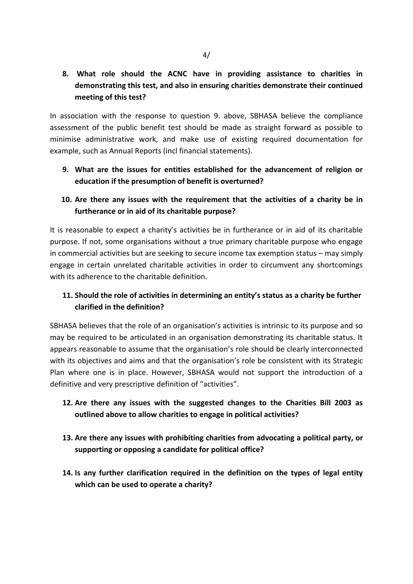# **8. What role should the ACNC have in providing assistance to charities in demonstrating this test, and also in ensuring charities demonstrate their continued meeting of this test?**

In association with the response to question 9. above, SBHASA believe the compliance assessment of the public benefit test should be made as straight forward as possible to minimise administrative work, and make use of existing required documentation for example, such as Annual Reports (incl financial statements).

**9. What are the issues for entities established for the advancement of religion or education if the presumption of benefit is overturned?**

# **10. Are there any issues with the requirement that the activities of a charity be in furtherance or in aid of its charitable purpose?**

It is reasonable to expect a charity's activities be in furtherance or in aid of its charitable purpose. If not, some organisations without a true primary charitable purpose who engage in commercial activities but are seeking to secure income tax exemption status – may simply engage in certain unrelated charitable activities in order to circumvent any shortcomings with its adherence to the charitable definition.

# **11. Should the role of activities in determining an entity's status as a charity be further clarified in the definition?**

SBHASA believes that the role of an organisation's activities is intrinsic to its purpose and so may be required to be articulated in an organisation demonstrating its charitable status. It appears reasonable to assume that the organisation's role should be clearly interconnected with its objectives and aims and that the organisation's role be consistent with its Strategic Plan where one is in place. However, SBHASA would not support the introduction of a definitive and very prescriptive definition of "activities".

### **12. Are there any issues with the suggested changes to the Charities Bill 2003 as outlined above to allow charities to engage in political activities?**

- **13. Are there any issues with prohibiting charities from advocating a political party, or supporting or opposing a candidate for political office?**
- **14. Is any further clarification required in the definition on the types of legal entity which can be used to operate a charity?**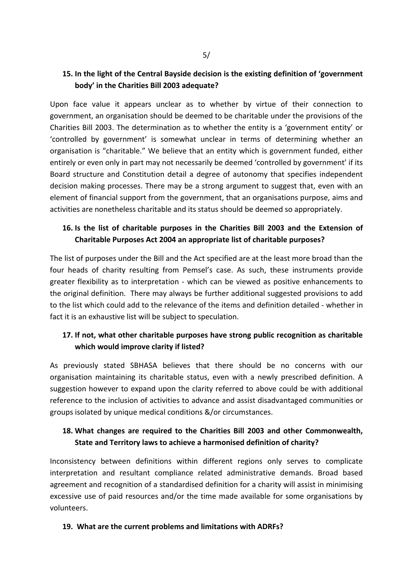### **15. In the light of the Central Bayside decision is the existing definition of 'government body' in the Charities Bill 2003 adequate?**

Upon face value it appears unclear as to whether by virtue of their connection to government, an organisation should be deemed to be charitable under the provisions of the Charities Bill 2003. The determination as to whether the entity is a 'government entity' or 'controlled by government' is somewhat unclear in terms of determining whether an organisation is "charitable." We believe that an entity which is government funded, either entirely or even only in part may not necessarily be deemed 'controlled by government' if its Board structure and Constitution detail a degree of autonomy that specifies independent decision making processes. There may be a strong argument to suggest that, even with an element of financial support from the government, that an organisations purpose, aims and activities are nonetheless charitable and its status should be deemed so appropriately.

# **16. Is the list of charitable purposes in the Charities Bill 2003 and the Extension of Charitable Purposes Act 2004 an appropriate list of charitable purposes?**

The list of purposes under the Bill and the Act specified are at the least more broad than the four heads of charity resulting from Pemsel's case. As such, these instruments provide greater flexibility as to interpretation - which can be viewed as positive enhancements to the original definition. There may always be further additional suggested provisions to add to the list which could add to the relevance of the items and definition detailed - whether in fact it is an exhaustive list will be subject to speculation.

### **17. If not, what other charitable purposes have strong public recognition as charitable which would improve clarity if listed?**

As previously stated SBHASA believes that there should be no concerns with our organisation maintaining its charitable status, even with a newly prescribed definition. A suggestion however to expand upon the clarity referred to above could be with additional reference to the inclusion of activities to advance and assist disadvantaged communities or groups isolated by unique medical conditions &/or circumstances.

### **18. What changes are required to the Charities Bill 2003 and other Commonwealth, State and Territory laws to achieve a harmonised definition of charity?**

Inconsistency between definitions within different regions only serves to complicate interpretation and resultant compliance related administrative demands. Broad based agreement and recognition of a standardised definition for a charity will assist in minimising excessive use of paid resources and/or the time made available for some organisations by volunteers.

#### **19. What are the current problems and limitations with ADRFs?**